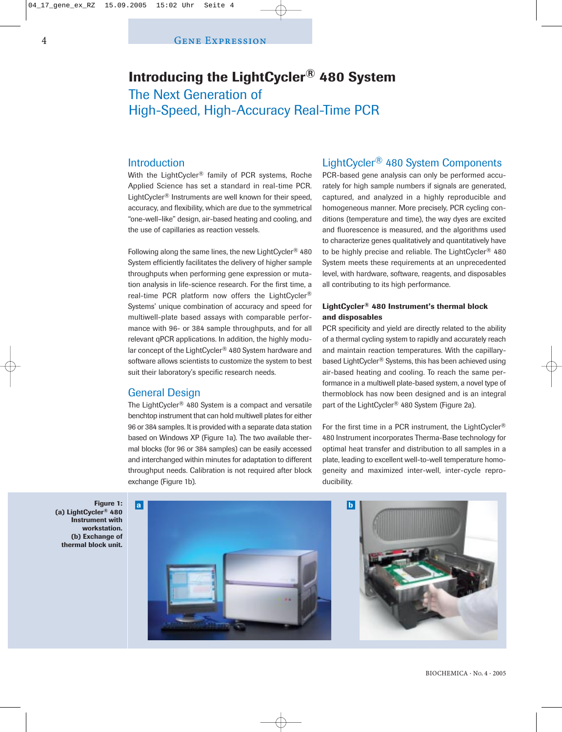# **Introducing the LightCycler® 480 System** The Next Generation of High-Speed, High-Accuracy Real-Time PCR

# Introduction

With the LightCycler<sup>®</sup> family of PCR systems, Roche Applied Science has set a standard in real-time PCR. LightCycler® Instruments are well known for their speed, accuracy, and flexibility, which are due to the symmetrical "one-well–like" design, air-based heating and cooling, and the use of capillaries as reaction vessels.

Following along the same lines, the new LightCycler® 480 System efficiently facilitates the delivery of higher sample throughputs when performing gene expression or mutation analysis in life-science research. For the first time, a real-time PCR platform now offers the LightCycler® Systems' unique combination of accuracy and speed for multiwell-plate based assays with comparable performance with 96- or 384 sample throughputs, and for all relevant qPCR applications. In addition, the highly modular concept of the LightCycler® 480 System hardware and software allows scientists to customize the system to best suit their laboratory's specific research needs.

# General Design

The LightCycler® 480 System is a compact and versatile benchtop instrument that can hold multiwell plates for either 96 or 384 samples. It is provided with a separate data station based on Windows XP (Figure 1a). The two available thermal blocks (for 96 or 384 samples) can be easily accessed and interchanged within minutes for adaptation to different throughput needs. Calibration is not required after block exchange (Figure 1b).

# LightCycler® 480 System Components

PCR-based gene analysis can only be performed accurately for high sample numbers if signals are generated, captured, and analyzed in a highly reproducible and homogeneous manner. More precisely, PCR cycling conditions (temperature and time), the way dyes are excited and fluorescence is measured, and the algorithms used to characterize genes qualitatively and quantitatively have to be highly precise and reliable. The LightCycler<sup>®</sup> 480 System meets these requirements at an unprecedented level, with hardware, software, reagents, and disposables all contributing to its high performance.

### **LightCycler® 480 Instrument's thermal block and disposables**

PCR specificity and yield are directly related to the ability of a thermal cycling system to rapidly and accurately reach and maintain reaction temperatures. With the capillarybased LightCycler® Systems, this has been achieved using air-based heating and cooling. To reach the same performance in a multiwell plate-based system, a novel type of thermoblock has now been designed and is an integral part of the LightCycler® 480 System (Figure 2a).

For the first time in a PCR instrument, the LightCycler<sup>®</sup> 480 Instrument incorporates Therma-Base technology for optimal heat transfer and distribution to all samples in a plate, leading to excellent well-to-well temperature homogeneity and maximized inter-well, inter-cycle reproducibility.



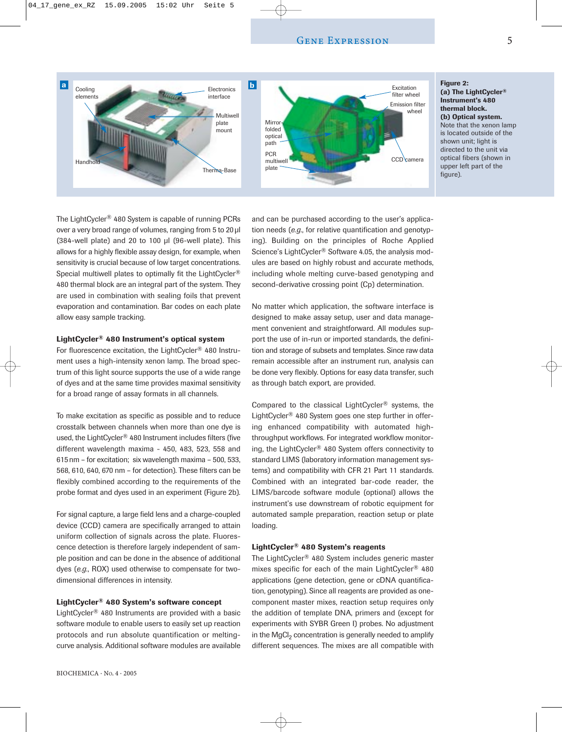

#### **Figure 2: (a) The LightCycler® Instrument's 480 thermal block. (b) Optical system.** Note that the xenon lamp is located outside of the shown unit; light is directed to the unit via optical fibers (shown in upper left part of the figure).

The LightCycler® 480 System is capable of running PCRs over a very broad range of volumes, ranging from 5 to 20 µl (384-well plate) and 20 to 100 µl (96-well plate). This allows for a highly flexible assay design, for example, when sensitivity is crucial because of low target concentrations. Special multiwell plates to optimally fit the LightCycler<sup>®</sup> 480 thermal block are an integral part of the system. They are used in combination with sealing foils that prevent evaporation and contamination. Bar codes on each plate allow easy sample tracking.

#### **LightCycler® 480 Instrument's optical system**

For fluorescence excitation, the LightCycler® 480 Instrument uses a high-intensity xenon lamp. The broad spectrum of this light source supports the use of a wide range of dyes and at the same time provides maximal sensitivity for a broad range of assay formats in all channels.

To make excitation as specific as possible and to reduce crosstalk between channels when more than one dye is used, the LightCycler® 480 Instrument includes filters (five different wavelength maxima - 450, 483, 523, 558 and 615 nm – for excitation; six wavelength maxima – 500, 533, 568, 610, 640, 670 nm – for detection). These filters can be flexibly combined according to the requirements of the probe format and dyes used in an experiment (Figure 2b).

For signal capture, a large field lens and a charge-coupled device (CCD) camera are specifically arranged to attain uniform collection of signals across the plate. Fluorescence detection is therefore largely independent of sample position and can be done in the absence of additional dyes (*e.g.*, ROX) used otherwise to compensate for twodimensional differences in intensity.

#### **LightCycler® 480 System's software concept**

LightCycler® 480 Instruments are provided with a basic software module to enable users to easily set up reaction protocols and run absolute quantification or meltingcurve analysis. Additional software modules are available and can be purchased according to the user's application needs (*e.g*., for relative quantification and genotyping). Building on the principles of Roche Applied Science's LightCycler® Software 4.05, the analysis modules are based on highly robust and accurate methods, including whole melting curve-based genotyping and second-derivative crossing point (Cp) determination.

No matter which application, the software interface is designed to make assay setup, user and data management convenient and straightforward. All modules support the use of in-run or imported standards, the definition and storage of subsets and templates. Since raw data remain accessible after an instrument run, analysis can be done very flexibly. Options for easy data transfer, such as through batch export, are provided.

Compared to the classical LightCycler® systems, the LightCycler® 480 System goes one step further in offering enhanced compatibility with automated highthroughput workflows. For integrated workflow monitoring, the LightCycler® 480 System offers connectivity to standard LIMS (laboratory information management systems) and compatibility with CFR 21 Part 11 standards. Combined with an integrated bar-code reader, the LIMS/barcode software module (optional) allows the instrument's use downstream of robotic equipment for automated sample preparation, reaction setup or plate loading.

#### **LightCycler® 480 System's reagents**

The LightCycler® 480 System includes generic master mixes specific for each of the main LightCycler® 480 applications (gene detection, gene or cDNA quantification, genotyping). Since all reagents are provided as onecomponent master mixes, reaction setup requires only the addition of template DNA, primers and (except for experiments with SYBR Green I) probes. No adjustment in the MgCl<sub>2</sub> concentration is generally needed to amplify different sequences. The mixes are all compatible with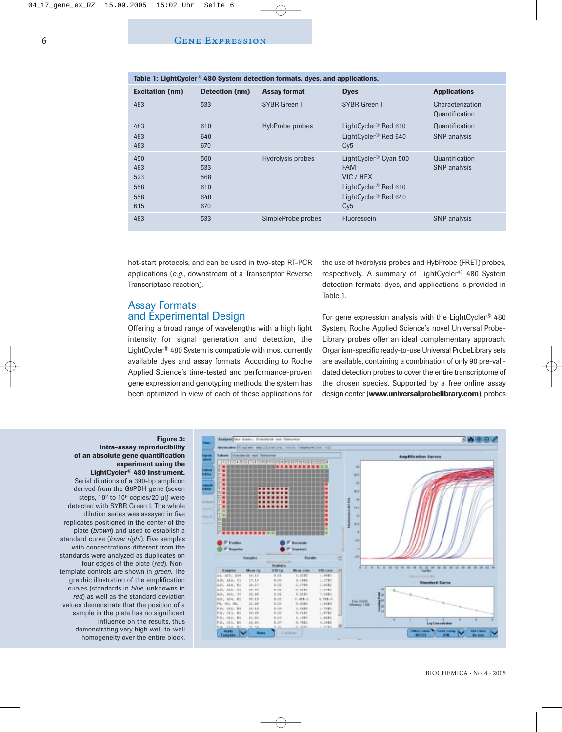| <u>1821 - 1911 - 1916 - 1920 - 1930 - 1940 - 1940 - 1951 - 1951 - 1952 - 1952 - 1952 - 1952 - 1953 - 1953 - 1953 - 1953 - 1953 - 1953 - 1953 - 1953 - 1953 - 1953 - 1953 - 1953 - 1953 - 1953 - 1953 - 1953 - 1953 - 1953 - 1953</u> |                                        |                     |                                                                                                                                             |                                       |
|--------------------------------------------------------------------------------------------------------------------------------------------------------------------------------------------------------------------------------------|----------------------------------------|---------------------|---------------------------------------------------------------------------------------------------------------------------------------------|---------------------------------------|
| <b>Excitation (nm)</b>                                                                                                                                                                                                               | Detection (nm)                         | <b>Assay format</b> | <b>Dyes</b>                                                                                                                                 | <b>Applications</b>                   |
| 483                                                                                                                                                                                                                                  | 533                                    | <b>SYBR Green I</b> | <b>SYBR Green I</b>                                                                                                                         | Characterization<br>Quantification    |
| 483<br>483<br>483                                                                                                                                                                                                                    | 610<br>640<br>670                      | HybProbe probes     | LightCycler <sup>®</sup> Red 610<br>LightCycler <sup>®</sup> Red 640<br>Cy5                                                                 | Quantification<br><b>SNP</b> analysis |
| 450<br>483<br>523<br>558<br>558<br>615                                                                                                                                                                                               | 500<br>533<br>568<br>610<br>640<br>670 | Hydrolysis probes   | LightCycler <sup>®</sup> Cyan 500<br><b>FAM</b><br>VIC / HEX<br>LightCycler <sup>®</sup> Red 610<br>LightCycler <sup>®</sup> Red 640<br>Cy5 | Quantification<br><b>SNP</b> analysis |
| 483                                                                                                                                                                                                                                  | 533                                    | SimpleProbe probes  | Fluorescein                                                                                                                                 | <b>SNP</b> analysis                   |

**Table 1: LightCycler® 480 System detection formats, dyes, and applications.**

hot-start protocols, and can be used in two-step RT-PCR applications (*e.g.*, downstream of a Transcriptor Reverse Transcriptase reaction).

# Assay Formats and Experimental Design

Offering a broad range of wavelengths with a high light intensity for signal generation and detection, the LightCycler® 480 System is compatible with most currently available dyes and assay formats. According to Roche Applied Science's time-tested and performance-proven gene expression and genotyping methods, the system has been optimized in view of each of these applications for the use of hydrolysis probes and HybProbe (FRET) probes, respectively. A summary of LightCycler® 480 System detection formats, dyes, and applications is provided in Table 1.

For gene expression analysis with the LightCycler® 480 System, Roche Applied Science's novel Universal Probe-Library probes offer an ideal complementary approach. Organism-specific ready-to-use Universal ProbeLibrary sets are available, containing a combination of only 90 pre-validated detection probes to cover the entire transcriptome of the chosen species. Supported by a free online assay design center (**www.universalprobelibrary.com**), probes

**Figure 3: Intra-assay reproducibility of an absolute gene quantification experiment using the LightCycler® 480 Instrument.** Serial dilutions of a 390-bp amplicon derived from the G6PDH gene (seven steps, 10<sup>2</sup> to 10<sup>6</sup> copies/20 µl) were detected with SYBR Green I. The whole dilution series was assayed in five replicates positioned in the center of the plate (*brown*) and used to establish a standard curve (*lower right*). Five samples with concentrations different from the standards were analyzed as duplicates on four edges of the plate (*red*). Nontemplate controls are shown in *green*. The graphic illustration of the amplification curves (standards in *blue*, unknowns in *red*) as well as the standard deviation values demonstrate that the position of a sample in the plate has no significant influence on the results, thus demonstrating very high well-to-well homogeneity over the entire block.